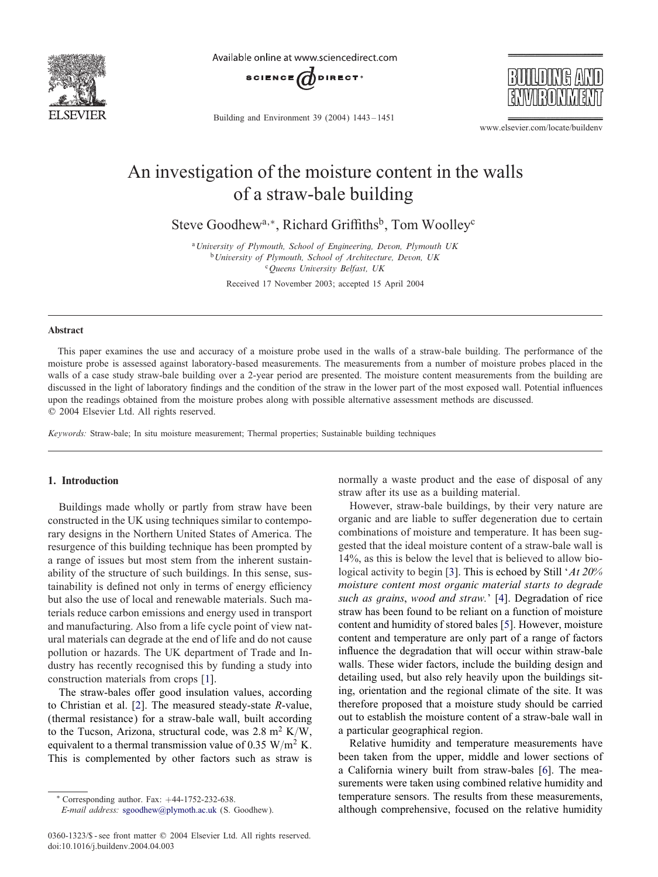

Available online at www.sciencedirect.com



Building and Environment 39 (2004) 1443 – 1451



www.elsevier.com/locate/buildenv

## An investigation of the moisture content in the walls of a straw-bale building

Steve Goodhew<sup>a,∗</sup>, Richard Griffiths<sup>b</sup>, Tom Woolley<sup>c</sup>

<sup>a</sup>*University of Plymouth, School of Engineering, Devon, Plymouth UK* <sup>b</sup>*University of Plymouth, School of Architecture, Devon, UK* <sup>c</sup>*Queens University Belfast, UK*

Received 17 November 2003; accepted 15 April 2004

#### Abstract

This paper examines the use and accuracy of a moisture probe used in the walls of a straw-bale building. The performance of the moisture probe is assessed against laboratory-based measurements. The measurements from a number of moisture probes placed in the walls of a case study straw-bale building over a 2-year period are presented. The moisture content measurements from the building are discussed in the light of laboratory findings and the condition of the straw in the lower part of the most exposed wall. Potential influences upon the readings obtained from the moisture probes along with possible alternative assessment methods are discussed. ? 2004 Elsevier Ltd. All rights reserved.

*Keywords:* Straw-bale; In situ moisture measurement; Thermal properties; Sustainable building techniques

#### 1. Introduction

Buildings made wholly or partly from straw have been constructed in the UK using techniques similar to contemporary designs in the Northern United States of America. The resurgence of this building technique has been prompted by a range of issues but most stem from the inherent sustainability of the structure of such buildings. In this sense, sustainability is defined not only in terms of energy efficiency but also the use of local and renewable materials. Such materials reduce carbon emissions and energy used in transport and manufacturing. Also from a life cycle point of view natural materials can degrade at the end of life and do not cause pollution or hazards. The UK department of Trade and Industry has recently recognised this by funding a study into construction materials from crops [\[1\]](#page--1-0).

The straw-bales offer good insulation values, according to Christian et al. [\[2\]](#page--1-0). The measured steady-state R-value, (thermal resistance) for a straw-bale wall, built according to the Tucson, Arizona, structural code, was  $2.8 \text{ m}^2 \text{ K/W}$ , equivalent to a thermal transmission value of 0.35 W/m<sup>2</sup> K. This is complemented by other factors such as straw is

normally a waste product and the ease of disposal of any straw after its use as a building material.

However, straw-bale buildings, by their very nature are organic and are liable to suffer degeneration due to certain combinations of moisture and temperature. It has been suggested that the ideal moisture content of a straw-bale wall is 14%, as this is below the level that is believed to allow biological activity to begin [\[3\]](#page--1-0). This is echoed by Still '*At 20% moisture content most organic material starts to degrade such as grains*, *wood and straw.*' [\[4\]](#page--1-0). Degradation of rice straw has been found to be reliant on a function of moisture content and humidity of stored bales [\[5\]](#page--1-0). However, moisture content and temperature are only part of a range of factors influence the degradation that will occur within straw-bale walls. These wider factors, include the building design and detailing used, but also rely heavily upon the buildings siting, orientation and the regional climate of the site. It was therefore proposed that a moisture study should be carried out to establish the moisture content of a straw-bale wall in a particular geographical region.

Relative humidity and temperature measurements have been taken from the upper, middle and lower sections of a California winery built from straw-bales [\[6\]](#page--1-0). The measurements were taken using combined relative humidity and temperature sensors. The results from these measurements, although comprehensive, focused on the relative humidity

<sup>∗</sup> Corresponding author. Fax: +44-1752-232-638.

*E-mail address:* [sgoodhew@plymoth.ac.uk](mailto:sgoodhew@plymoth.ac.uk) (S. Goodhew).

<sup>0360-1323/\$ -</sup> see front matter © 2004 Elsevier Ltd. All rights reserved. doi:10.1016/j.buildenv.2004.04.003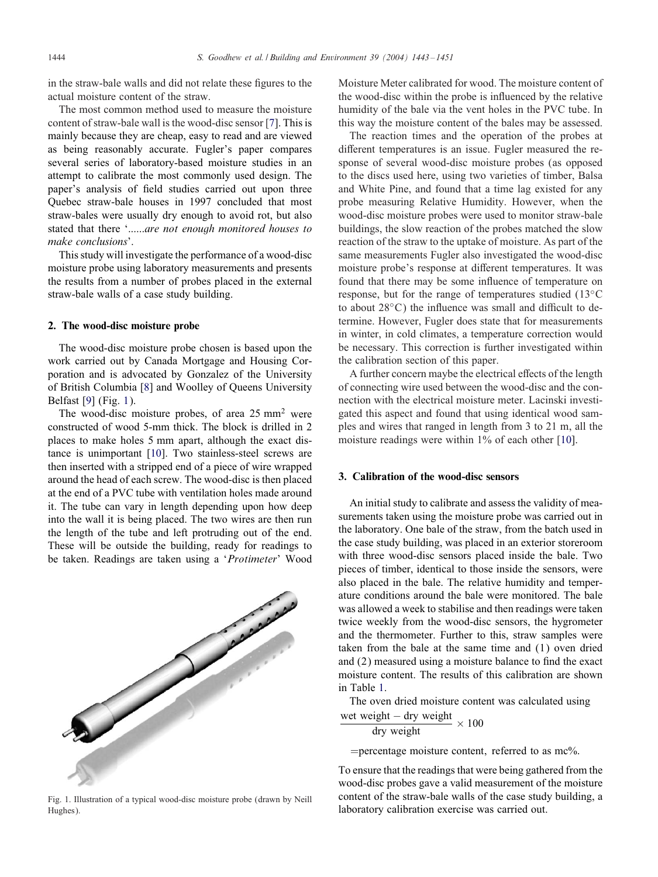in the straw-bale walls and did not relate these figures to the actual moisture content of the straw.

The most common method used to measure the moisture content of straw-bale wall is the wood-disc sensor [\[7\]](#page--1-0). This is mainly because they are cheap, easy to read and are viewed as being reasonably accurate. Fugler's paper compares several series of laboratory-based moisture studies in an attempt to calibrate the most commonly used design. The paper's analysis of field studies carried out upon three Quebec straw-bale houses in 1997 concluded that most straw-bales were usually dry enough to avoid rot, but also stated that there '......*are not enough monitored houses to make conclusions*'.

This study will investigate the performance of a wood-disc moisture probe using laboratory measurements and presents the results from a number of probes placed in the external straw-bale walls of a case study building.

#### 2. The wood-disc moisture probe

The wood-disc moisture probe chosen is based upon the work carried out by Canada Mortgage and Housing Corporation and is advocated by Gonzalez of the University of British Columbia [\[8\]](#page--1-0) and Woolley of Queens University Belfast [\[9\]](#page--1-0) (Fig. 1).

The wood-disc moisture probes, of area  $25 \text{ mm}^2$  were constructed of wood 5-mm thick. The block is drilled in 2 places to make holes 5 mm apart, although the exact distance is unimportant [\[10\]](#page--1-0). Two stainless-steel screws are then inserted with a stripped end of a piece of wire wrapped around the head of each screw. The wood-disc is then placed at the end of a PVC tube with ventilation holes made around it. The tube can vary in length depending upon how deep into the wall it is being placed. The two wires are then run the length of the tube and left protruding out of the end. These will be outside the building, ready for readings to be taken. Readings are taken using a '*Protimeter*' Wood



Fig. 1. Illustration of a typical wood-disc moisture probe (drawn by Neill Hughes).

Moisture Meter calibrated for wood. The moisture content of the wood-disc within the probe is influenced by the relative humidity of the bale via the vent holes in the PVC tube. In this way the moisture content of the bales may be assessed.

The reaction times and the operation of the probes at different temperatures is an issue. Fugler measured the response of several wood-disc moisture probes (as opposed to the discs used here, using two varieties of timber, Balsa and White Pine, and found that a time lag existed for any probe measuring Relative Humidity. However, when the wood-disc moisture probes were used to monitor straw-bale buildings, the slow reaction of the probes matched the slow reaction of the straw to the uptake of moisture. As part of the same measurements Fugler also investigated the wood-disc moisture probe's response at different temperatures. It was found that there may be some influence of temperature on response, but for the range of temperatures studied (13◦C to about  $28\degree C$ ) the influence was small and difficult to determine. However, Fugler does state that for measurements in winter, in cold climates, a temperature correction would be necessary. This correction is further investigated within the calibration section of this paper.

A further concern maybe the electrical effects of the length of connecting wire used between the wood-disc and the connection with the electrical moisture meter. Lacinski investigated this aspect and found that using identical wood samples and wires that ranged in length from 3 to 21 m, all the moisture readings were within 1% of each other [\[10\]](#page--1-0).

### 3. Calibration of the wood-disc sensors

An initial study to calibrate and assess the validity of measurements taken using the moisture probe was carried out in the laboratory. One bale of the straw, from the batch used in the case study building, was placed in an exterior storeroom with three wood-disc sensors placed inside the bale. Two pieces of timber, identical to those inside the sensors, were also placed in the bale. The relative humidity and temperature conditions around the bale were monitored. The bale was allowed a week to stabilise and then readings were taken twice weekly from the wood-disc sensors, the hygrometer and the thermometer. Further to this, straw samples were taken from the bale at the same time and (1) oven dried and (2) measured using a moisture balance to find the exact moisture content. The results of this calibration are shown in Table [1.](#page--1-0)

The oven dried moisture content was calculated using

\n
$$
\frac{w}{w}
$$
 weight – dry weight  
\n dry weight  
\n x 100\n

 $=$  percentage moisture content, referred to as mc%.

To ensure that the readings that were being gathered from the wood-disc probes gave a valid measurement of the moisture content of the straw-bale walls of the case study building, a laboratory calibration exercise was carried out.